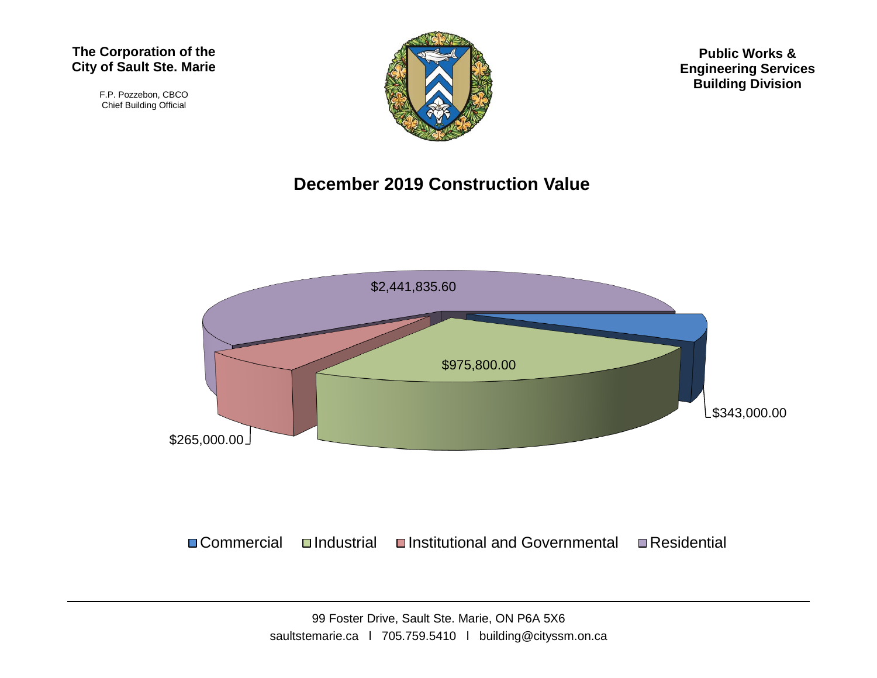#### **The Corporation of the City of Sault Ste. Marie**

F.P. Pozzebon, CBCO Chief Building Official



**Public Works & Engineering Services Building Division**

#### **December 2019 Construction Value**



 $\Box$  Commercial  $\Box$ Industrial  $\Box$ Institutional and Governmental  $\Box$  Residential

99 Foster Drive, Sault Ste. Marie, ON P6A 5X6 saultstemarie.ca | 705.759.5410 | building@cityssm.on.ca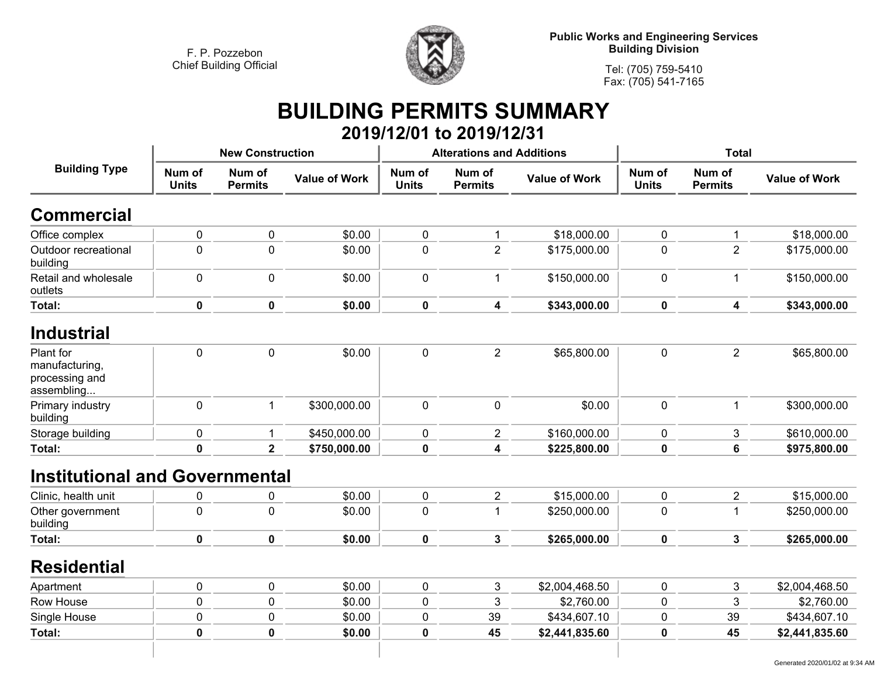

**Tel: (705) 759-5410Fax: (705) 541-7165**

## **BUILDING PERMITS SUMMARY 2019/12/01 to 2019/12/31**

|                                                      |              |                      |                                                                  |                          |                      | <b>Total</b>                     |                          |                      |
|------------------------------------------------------|--------------|----------------------|------------------------------------------------------------------|--------------------------|----------------------|----------------------------------|--------------------------|----------------------|
| Num of<br>Num of<br><b>Units</b><br><b>Permits</b>   |              | <b>Value of Work</b> | Num of<br><b>Units</b>                                           | Num of<br><b>Permits</b> | <b>Value of Work</b> | Num of<br><b>Units</b>           | Num of<br><b>Permits</b> | <b>Value of Work</b> |
|                                                      |              |                      |                                                                  |                          |                      |                                  |                          |                      |
| $\mathbf 0$                                          | 0            | \$0.00               | 0                                                                | $\mathbf 1$              | \$18,000.00          | $\mathbf 0$                      | $\mathbf{1}$             | \$18,000.00          |
| $\pmb{0}$                                            | $\mathbf 0$  | \$0.00               | 0                                                                | $\overline{2}$           | \$175,000.00         | $\mathbf 0$                      | $\overline{2}$           | \$175,000.00         |
| $\mathbf 0$                                          | $\mathbf 0$  | \$0.00               | $\mathbf 0$                                                      | $\mathbf 1$              | \$150,000.00         | $\mathbf 0$                      | $\mathbf{1}$             | \$150,000.00         |
| $\mathbf 0$                                          | $\mathbf 0$  | \$0.00               | $\mathbf 0$                                                      | $\overline{\mathbf{4}}$  | \$343,000.00         | $\mathbf 0$                      | 4                        | \$343,000.00         |
|                                                      |              |                      |                                                                  |                          |                      |                                  |                          |                      |
| $\mathbf 0$                                          | $\mathbf 0$  | \$0.00               | $\pmb{0}$                                                        | $\overline{2}$           | \$65,800.00          | $\pmb{0}$                        | $\overline{2}$           | \$65,800.00          |
| $\mathbf 0$                                          | $\mathbf{1}$ | \$300,000.00         | $\mathbf 0$                                                      | $\mathbf 0$              | \$0.00               | $\mathbf 0$                      | $\mathbf 1$              | \$300,000.00         |
| $\mathbf 0$                                          | $\mathbf 1$  | \$450,000.00         | 0                                                                | $\overline{2}$           | \$160,000.00         | $\mathbf 0$                      | $\mathbf{3}$             | \$610,000.00         |
| $\pmb{0}$<br>$\overline{\mathbf{2}}$<br>\$750,000.00 |              | $\mathbf 0$          | 4                                                                | \$225,800.00             | $\pmb{0}$            | $\bf 6$                          | \$975,800.00             |                      |
|                                                      |              |                      |                                                                  |                          |                      |                                  |                          |                      |
| 0                                                    | 0            | \$0.00               | $\pmb{0}$                                                        | $\sqrt{2}$               | \$15,000.00          | $\pmb{0}$                        | $\overline{2}$           | \$15,000.00          |
| $\mathbf 0$                                          | $\mathbf 0$  | \$0.00               | 0                                                                | $\mathbf 1$              | \$250,000.00         | $\mathbf 0$                      | $\mathbf 1$              | \$250,000.00         |
| 0                                                    | $\mathbf 0$  | \$0.00               | $\pmb{0}$                                                        | $\mathbf{3}$             | \$265,000.00         | $\pmb{0}$                        | $\mathbf{3}$             | \$265,000.00         |
|                                                      |              |                      |                                                                  |                          |                      |                                  |                          |                      |
| $\mathbf 0$                                          | $\pmb{0}$    | \$0.00               | $\pmb{0}$                                                        | $\sqrt{3}$               | \$2,004,468.50       | $\mathbf 0$                      | $\sqrt{3}$               | \$2,004,468.50       |
| 0                                                    | 0            | \$0.00               | 0                                                                | 3                        | \$2,760.00           | $\mathbf 0$                      | $\mathbf{3}$             | \$2,760.00           |
| 0                                                    | 0            | \$0.00               | 0                                                                | 39                       | \$434,607.10         | $\pmb{0}$                        | 39                       | \$434,607.10         |
| 0                                                    | $\mathbf 0$  | \$0.00               | 0                                                                | 45                       | \$2,441,835.60       | $\bf{0}$                         | 45                       | \$2,441,835.60       |
|                                                      |              |                      | <b>New Construction</b><br><b>Institutional and Governmental</b> |                          |                      | <b>Alterations and Additions</b> |                          |                      |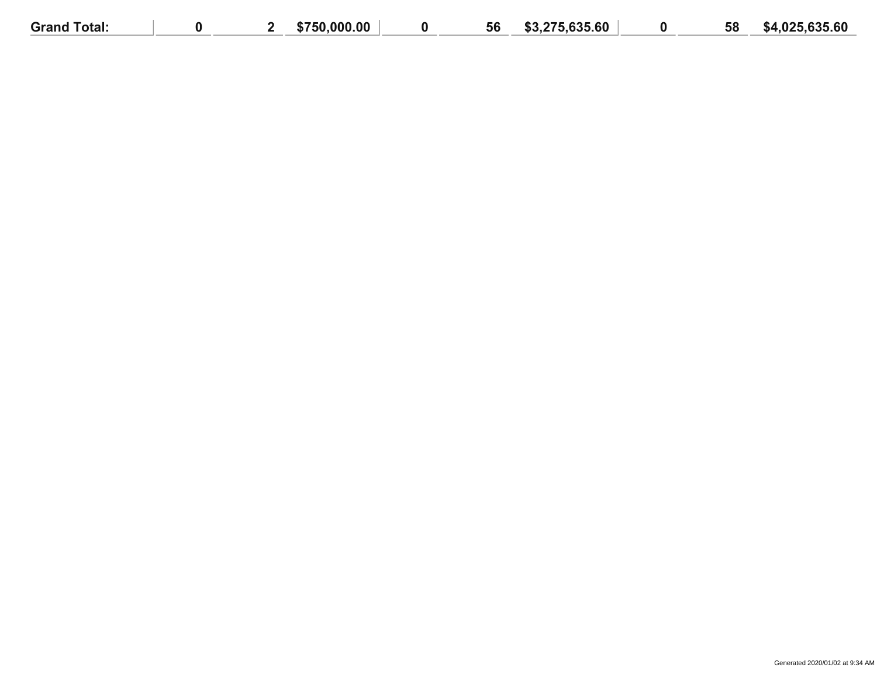| <b>Grand Total:</b> |  | \$750,000.00 | 56 | \$3,275,635,60 | 58 | \$4.025.635.60 |
|---------------------|--|--------------|----|----------------|----|----------------|
|                     |  |              |    |                |    |                |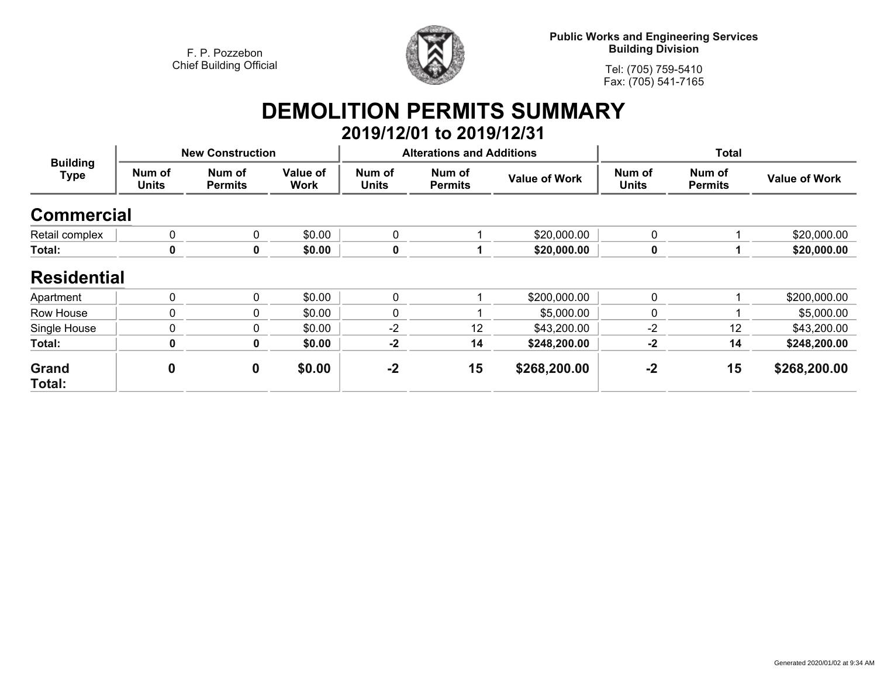

**Public Works and Engineering Services Building Division**

**Tel: (705) 759-5410Fax: (705) 541-7165**

# **DEMOLITION PERMITS SUMMARY**

|                                |                        |                          |                  |                        | 2019/12/01 to 2019/12/31         |                      |                        |                          |                      |  |
|--------------------------------|------------------------|--------------------------|------------------|------------------------|----------------------------------|----------------------|------------------------|--------------------------|----------------------|--|
| <b>Building</b><br><b>Type</b> |                        | <b>New Construction</b>  |                  |                        | <b>Alterations and Additions</b> |                      | <b>Total</b>           |                          |                      |  |
|                                | Num of<br><b>Units</b> | Num of<br><b>Permits</b> | Value of<br>Work | Num of<br><b>Units</b> | Num of<br><b>Permits</b>         | <b>Value of Work</b> | Num of<br><b>Units</b> | Num of<br><b>Permits</b> | <b>Value of Work</b> |  |
| <b>Commercial</b>              |                        |                          |                  |                        |                                  |                      |                        |                          |                      |  |
| Retail complex                 | $\mathbf{0}$           | 0                        | \$0.00           | 0                      |                                  | \$20,000.00          | $\mathbf 0$            |                          | \$20,000.00          |  |
| Total:                         | 0                      | 0                        | \$0.00           | $\boldsymbol{0}$       |                                  | \$20,000.00          | 0                      |                          | \$20,000.00          |  |
| <b>Residential</b>             |                        |                          |                  |                        |                                  |                      |                        |                          |                      |  |
| Apartment                      | $\mathbf{0}$           | 0                        | \$0.00           | 0                      |                                  | \$200,000.00         | 0                      |                          | \$200,000.00         |  |
| Row House                      | $\Omega$               | 0                        | \$0.00           | $\mathbf{0}$           |                                  | \$5,000.00           | 0                      |                          | \$5,000.00           |  |
| Single House                   | $\mathbf 0$            | 0                        | \$0.00           | $-2$                   | 12                               | \$43,200.00          | $-2$                   | 12                       | \$43,200.00          |  |
| Total:                         | $\mathbf 0$            | $\mathbf 0$              | \$0.00           | $-2$                   | 14                               | \$248,200.00         | $-2$                   | 14                       | \$248,200.00         |  |
| Grand<br>Total:                | $\boldsymbol{0}$       | $\boldsymbol{0}$         | \$0.00           | $-2$                   | 15                               | \$268,200.00         | $-2$                   | 15                       | \$268,200.00         |  |